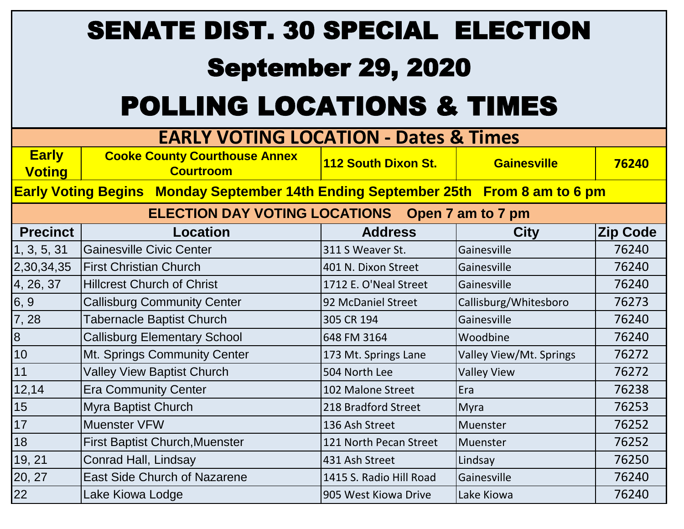## SENATE DIST. 30 SPECIAL ELECTION

## September 29, 2020

## POLLING LOCATIONS & TIMES

| <b>EARLY VOTING LOCATION - Dates &amp; Times</b>                                  |                                                          |                         |                         |                 |  |  |  |
|-----------------------------------------------------------------------------------|----------------------------------------------------------|-------------------------|-------------------------|-----------------|--|--|--|
| <b>Early</b><br><b>Voting</b>                                                     | <b>Cooke County Courthouse Annex</b><br><b>Courtroom</b> | 112 South Dixon St.     | <b>Gainesville</b>      | 76240           |  |  |  |
| Early Voting Begins Monday September 14th Ending September 25th From 8 am to 6 pm |                                                          |                         |                         |                 |  |  |  |
| <b>ELECTION DAY VOTING LOCATIONS Open 7 am to 7 pm</b>                            |                                                          |                         |                         |                 |  |  |  |
| <b>Precinct</b>                                                                   | <b>Location</b>                                          | <b>Address</b>          | <b>City</b>             | <b>Zip Code</b> |  |  |  |
| 1, 3, 5, 31                                                                       | <b>Gainesville Civic Center</b>                          | 311 S Weaver St.        | Gainesville             | 76240           |  |  |  |
| 2,30,34,35                                                                        | <b>First Christian Church</b>                            | 401 N. Dixon Street     | Gainesville             | 76240           |  |  |  |
| 4, 26, 37                                                                         | <b>Hillcrest Church of Christ</b>                        | 1712 E. O'Neal Street   | Gainesville             | 76240           |  |  |  |
| 6, 9                                                                              | <b>Callisburg Community Center</b>                       | 92 McDaniel Street      | Callisburg/Whitesboro   | 76273           |  |  |  |
| 7,28                                                                              | <b>Tabernacle Baptist Church</b>                         | 305 CR 194              | Gainesville             | 76240           |  |  |  |
| $\bf{8}$                                                                          | <b>Callisburg Elementary School</b>                      | 648 FM 3164             | Woodbine                | 76240           |  |  |  |
| 10                                                                                | Mt. Springs Community Center                             | 173 Mt. Springs Lane    | Valley View/Mt. Springs | 76272           |  |  |  |
| 11                                                                                | <b>Valley View Baptist Church</b>                        | 504 North Lee           | <b>Valley View</b>      | 76272           |  |  |  |
| 12,14                                                                             | <b>Era Community Center</b>                              | 102 Malone Street       | Era                     | 76238           |  |  |  |
| 15                                                                                | Myra Baptist Church                                      | 218 Bradford Street     | Myra                    | 76253           |  |  |  |
| 17                                                                                | <b>Muenster VFW</b>                                      | 136 Ash Street          | Muenster                | 76252           |  |  |  |
| 18                                                                                | <b>First Baptist Church, Muenster</b>                    | 121 North Pecan Street  | Muenster                | 76252           |  |  |  |
| 19, 21                                                                            | Conrad Hall, Lindsay                                     | 431 Ash Street          | Lindsay                 | 76250           |  |  |  |
| 20, 27                                                                            | <b>East Side Church of Nazarene</b>                      | 1415 S. Radio Hill Road | Gainesville             | 76240           |  |  |  |
| 22                                                                                | Lake Kiowa Lodge                                         | 905 West Kiowa Drive    | Lake Kiowa              | 76240           |  |  |  |